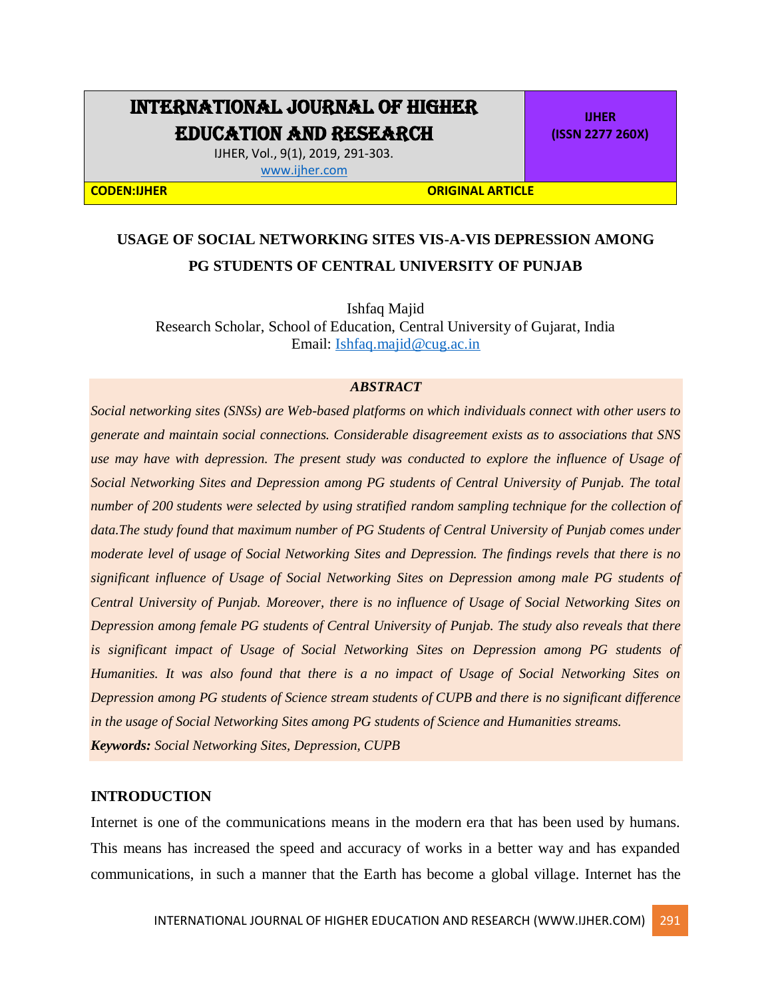# INTERNATIONAL JOURNAL OF HIGHER EDUCATION AND RESEARCH

**IJHER (ISSN 2277 260X)**

IJHER, Vol., 9(1), 2019, 291-303. [www.ijher.com](http://www.ijher.com/)

#### **CODEN:IJHER ORIGINAL ARTICLE**

## **USAGE OF SOCIAL NETWORKING SITES VIS-A-VIS DEPRESSION AMONG PG STUDENTS OF CENTRAL UNIVERSITY OF PUNJAB**

Ishfaq Majid Research Scholar, School of Education, Central University of Gujarat, India Email: [Ishfaq.majid@cug.ac.in](mailto:Ishfaq.majid@cug.ac.in)

#### *ABSTRACT*

*Social networking sites (SNSs) are Web-based platforms on which individuals connect with other users to generate and maintain social connections. Considerable disagreement exists as to associations that SNS use may have with depression. The present study was conducted to explore the influence of Usage of Social Networking Sites and Depression among PG students of Central University of Punjab. The total number of 200 students were selected by using stratified random sampling technique for the collection of data.The study found that maximum number of PG Students of Central University of Punjab comes under moderate level of usage of Social Networking Sites and Depression. The findings revels that there is no significant influence of Usage of Social Networking Sites on Depression among male PG students of Central University of Punjab. Moreover, there is no influence of Usage of Social Networking Sites on Depression among female PG students of Central University of Punjab. The study also reveals that there is significant impact of Usage of Social Networking Sites on Depression among PG students of Humanities. It was also found that there is a no impact of Usage of Social Networking Sites on Depression among PG students of Science stream students of CUPB and there is no significant difference in the usage of Social Networking Sites among PG students of Science and Humanities streams. Keywords: Social Networking Sites, Depression, CUPB*

#### **INTRODUCTION**

Internet is one of the communications means in the modern era that has been used by humans. This means has increased the speed and accuracy of works in a better way and has expanded communications, in such a manner that the Earth has become a global village. Internet has the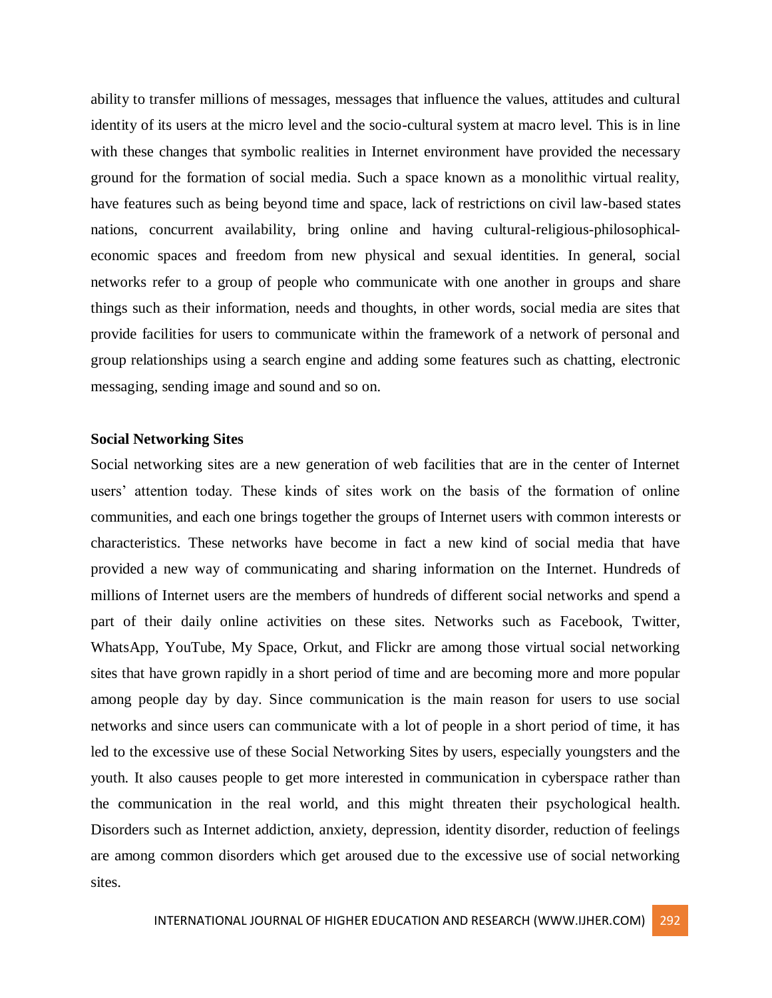ability to transfer millions of messages, messages that influence the values, attitudes and cultural identity of its users at the micro level and the socio-cultural system at macro level. This is in line with these changes that symbolic realities in Internet environment have provided the necessary ground for the formation of social media. Such a space known as a monolithic virtual reality, have features such as being beyond time and space, lack of restrictions on civil law-based states nations, concurrent availability, bring online and having cultural-religious-philosophicaleconomic spaces and freedom from new physical and sexual identities. In general, social networks refer to a group of people who communicate with one another in groups and share things such as their information, needs and thoughts, in other words, social media are sites that provide facilities for users to communicate within the framework of a network of personal and group relationships using a search engine and adding some features such as chatting, electronic messaging, sending image and sound and so on.

## **Social Networking Sites**

Social networking sites are a new generation of web facilities that are in the center of Internet users' attention today. These kinds of sites work on the basis of the formation of online communities, and each one brings together the groups of Internet users with common interests or characteristics. These networks have become in fact a new kind of social media that have provided a new way of communicating and sharing information on the Internet. Hundreds of millions of Internet users are the members of hundreds of different social networks and spend a part of their daily online activities on these sites. Networks such as Facebook, Twitter, WhatsApp, YouTube, My Space, Orkut, and Flickr are among those virtual social networking sites that have grown rapidly in a short period of time and are becoming more and more popular among people day by day. Since communication is the main reason for users to use social networks and since users can communicate with a lot of people in a short period of time, it has led to the excessive use of these Social Networking Sites by users, especially youngsters and the youth. It also causes people to get more interested in communication in cyberspace rather than the communication in the real world, and this might threaten their psychological health. Disorders such as Internet addiction, anxiety, depression, identity disorder, reduction of feelings are among common disorders which get aroused due to the excessive use of social networking sites.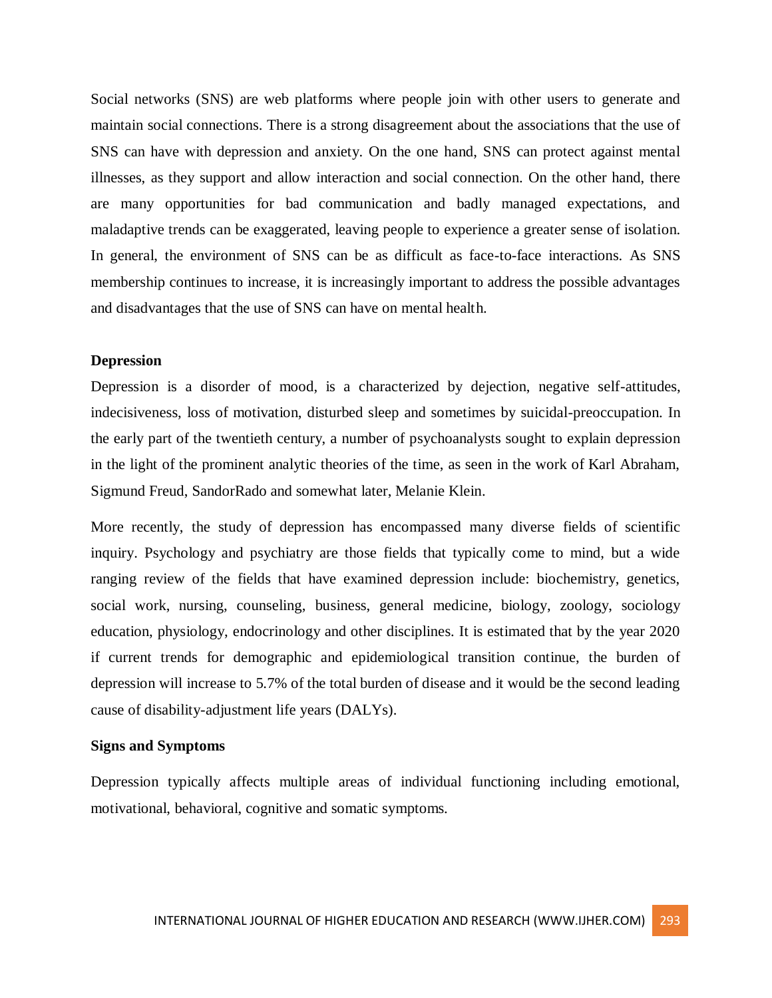Social networks (SNS) are web platforms where people join with other users to generate and maintain social connections. There is a strong disagreement about the associations that the use of SNS can have with depression and anxiety. On the one hand, SNS can protect against mental illnesses, as they support and allow interaction and social connection. On the other hand, there are many opportunities for bad communication and badly managed expectations, and maladaptive trends can be exaggerated, leaving people to experience a greater sense of isolation. In general, the environment of SNS can be as difficult as face-to-face interactions. As SNS membership continues to increase, it is increasingly important to address the possible advantages and disadvantages that the use of SNS can have on mental health.

## **Depression**

Depression is a disorder of mood, is a characterized by dejection, negative self-attitudes, indecisiveness, loss of motivation, disturbed sleep and sometimes by suicidal-preoccupation. In the early part of the twentieth century, a number of psychoanalysts sought to explain depression in the light of the prominent analytic theories of the time, as seen in the work of Karl Abraham, Sigmund Freud, SandorRado and somewhat later, Melanie Klein.

More recently, the study of depression has encompassed many diverse fields of scientific inquiry. Psychology and psychiatry are those fields that typically come to mind, but a wide ranging review of the fields that have examined depression include: biochemistry, genetics, social work, nursing, counseling, business, general medicine, biology, zoology, sociology education, physiology, endocrinology and other disciplines. It is estimated that by the year 2020 if current trends for demographic and epidemiological transition continue, the burden of depression will increase to 5.7% of the total burden of disease and it would be the second leading cause of disability-adjustment life years (DALYs).

#### **Signs and Symptoms**

Depression typically affects multiple areas of individual functioning including emotional, motivational, behavioral, cognitive and somatic symptoms.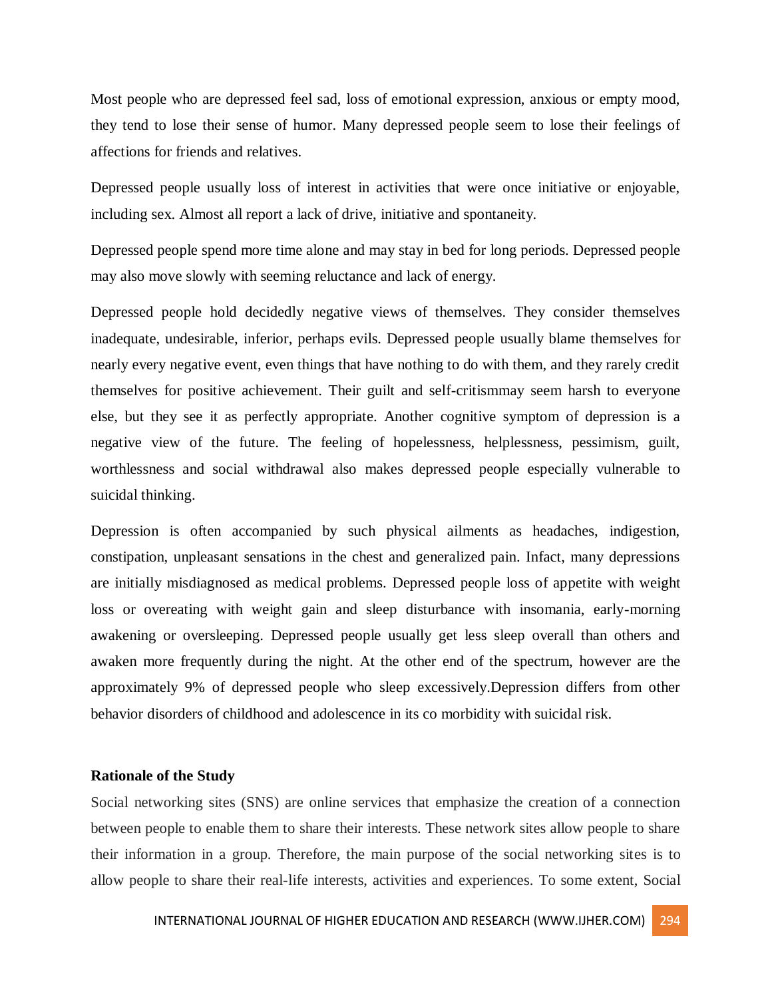Most people who are depressed feel sad, loss of emotional expression, anxious or empty mood, they tend to lose their sense of humor. Many depressed people seem to lose their feelings of affections for friends and relatives.

Depressed people usually loss of interest in activities that were once initiative or enjoyable, including sex. Almost all report a lack of drive, initiative and spontaneity.

Depressed people spend more time alone and may stay in bed for long periods. Depressed people may also move slowly with seeming reluctance and lack of energy.

Depressed people hold decidedly negative views of themselves. They consider themselves inadequate, undesirable, inferior, perhaps evils. Depressed people usually blame themselves for nearly every negative event, even things that have nothing to do with them, and they rarely credit themselves for positive achievement. Their guilt and self-critismmay seem harsh to everyone else, but they see it as perfectly appropriate. Another cognitive symptom of depression is a negative view of the future. The feeling of hopelessness, helplessness, pessimism, guilt, worthlessness and social withdrawal also makes depressed people especially vulnerable to suicidal thinking.

Depression is often accompanied by such physical ailments as headaches, indigestion, constipation, unpleasant sensations in the chest and generalized pain. Infact, many depressions are initially misdiagnosed as medical problems. Depressed people loss of appetite with weight loss or overeating with weight gain and sleep disturbance with insomania, early-morning awakening or oversleeping. Depressed people usually get less sleep overall than others and awaken more frequently during the night. At the other end of the spectrum, however are the approximately 9% of depressed people who sleep excessively.Depression differs from other behavior disorders of childhood and adolescence in its co morbidity with suicidal risk.

## **Rationale of the Study**

Social networking sites (SNS) are online services that emphasize the creation of a connection between people to enable them to share their interests. These network sites allow people to share their information in a group. Therefore, the main purpose of the social networking sites is to allow people to share their real-life interests, activities and experiences. To some extent, Social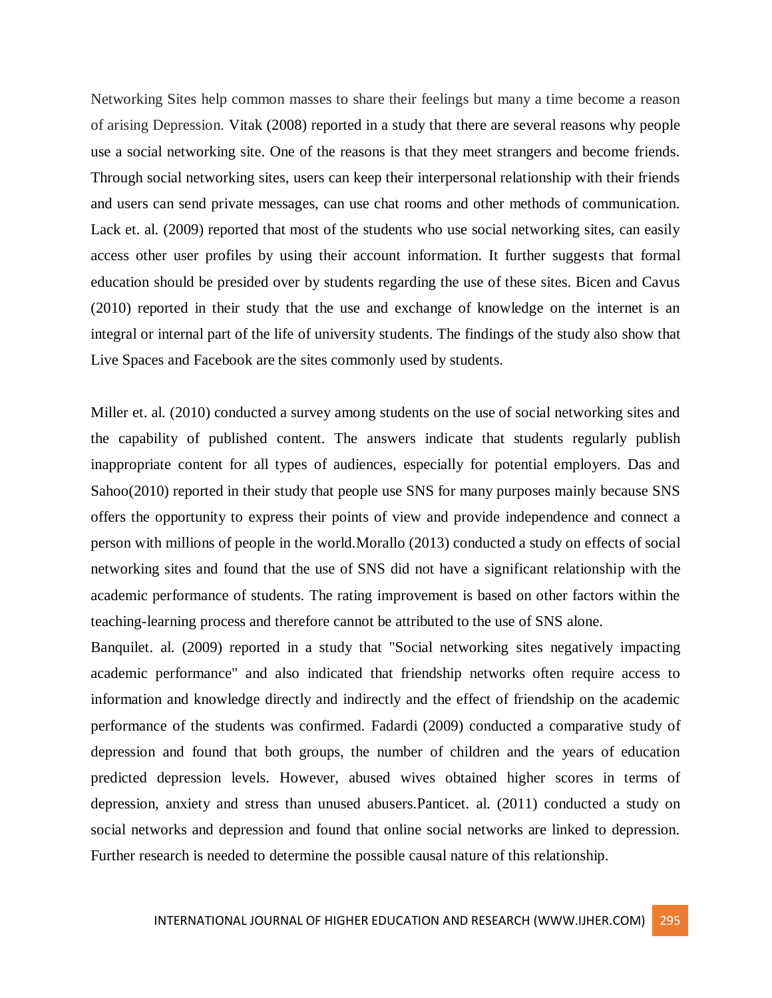Networking Sites help common masses to share their feelings but many a time become a reason of arising Depression. Vitak (2008) reported in a study that there are several reasons why people use a social networking site. One of the reasons is that they meet strangers and become friends. Through social networking sites, users can keep their interpersonal relationship with their friends and users can send private messages, can use chat rooms and other methods of communication. Lack et. al. (2009) reported that most of the students who use social networking sites, can easily access other user profiles by using their account information. It further suggests that formal education should be presided over by students regarding the use of these sites. Bicen and Cavus (2010) reported in their study that the use and exchange of knowledge on the internet is an integral or internal part of the life of university students. The findings of the study also show that Live Spaces and Facebook are the sites commonly used by students.

Miller et. al. (2010) conducted a survey among students on the use of social networking sites and the capability of published content. The answers indicate that students regularly publish inappropriate content for all types of audiences, especially for potential employers. Das and Sahoo(2010) reported in their study that people use SNS for many purposes mainly because SNS offers the opportunity to express their points of view and provide independence and connect a person with millions of people in the world.Morallo (2013) conducted a study on effects of social networking sites and found that the use of SNS did not have a significant relationship with the academic performance of students. The rating improvement is based on other factors within the teaching-learning process and therefore cannot be attributed to the use of SNS alone.

Banquilet. al. (2009) reported in a study that "Social networking sites negatively impacting academic performance" and also indicated that friendship networks often require access to information and knowledge directly and indirectly and the effect of friendship on the academic performance of the students was confirmed. Fadardi (2009) conducted a comparative study of depression and found that both groups, the number of children and the years of education predicted depression levels. However, abused wives obtained higher scores in terms of depression, anxiety and stress than unused abusers.Panticet. al. (2011) conducted a study on social networks and depression and found that online social networks are linked to depression. Further research is needed to determine the possible causal nature of this relationship.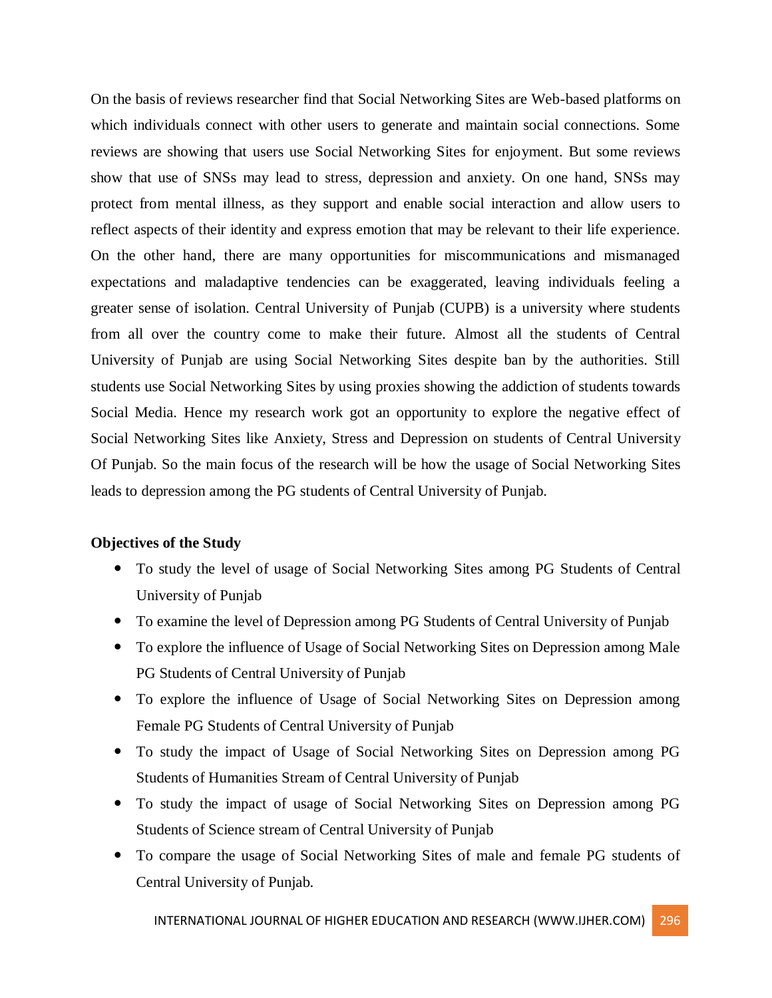On the basis of reviews researcher find that Social Networking Sites are Web-based platforms on which individuals connect with other users to generate and maintain social connections. Some reviews are showing that users use Social Networking Sites for enjoyment. But some reviews show that use of SNSs may lead to stress, depression and anxiety. On one hand, SNSs may protect from mental illness, as they support and enable social interaction and allow users to reflect aspects of their identity and express emotion that may be relevant to their life experience. On the other hand, there are many opportunities for miscommunications and mismanaged expectations and maladaptive tendencies can be exaggerated, leaving individuals feeling a greater sense of isolation. Central University of Punjab (CUPB) is a university where students from all over the country come to make their future. Almost all the students of Central University of Punjab are using Social Networking Sites despite ban by the authorities. Still students use Social Networking Sites by using proxies showing the addiction of students towards Social Media. Hence my research work got an opportunity to explore the negative effect of Social Networking Sites like Anxiety, Stress and Depression on students of Central University Of Punjab. So the main focus of the research will be how the usage of Social Networking Sites leads to depression among the PG students of Central University of Punjab.

## **Objectives of the Study**

- To study the level of usage of Social Networking Sites among PG Students of Central University of Punjab
- To examine the level of Depression among PG Students of Central University of Punjab
- To explore the influence of Usage of Social Networking Sites on Depression among Male PG Students of Central University of Punjab
- To explore the influence of Usage of Social Networking Sites on Depression among Female PG Students of Central University of Punjab
- To study the impact of Usage of Social Networking Sites on Depression among PG Students of Humanities Stream of Central University of Punjab
- To study the impact of usage of Social Networking Sites on Depression among PG Students of Science stream of Central University of Punjab
- To compare the usage of Social Networking Sites of male and female PG students of Central University of Punjab.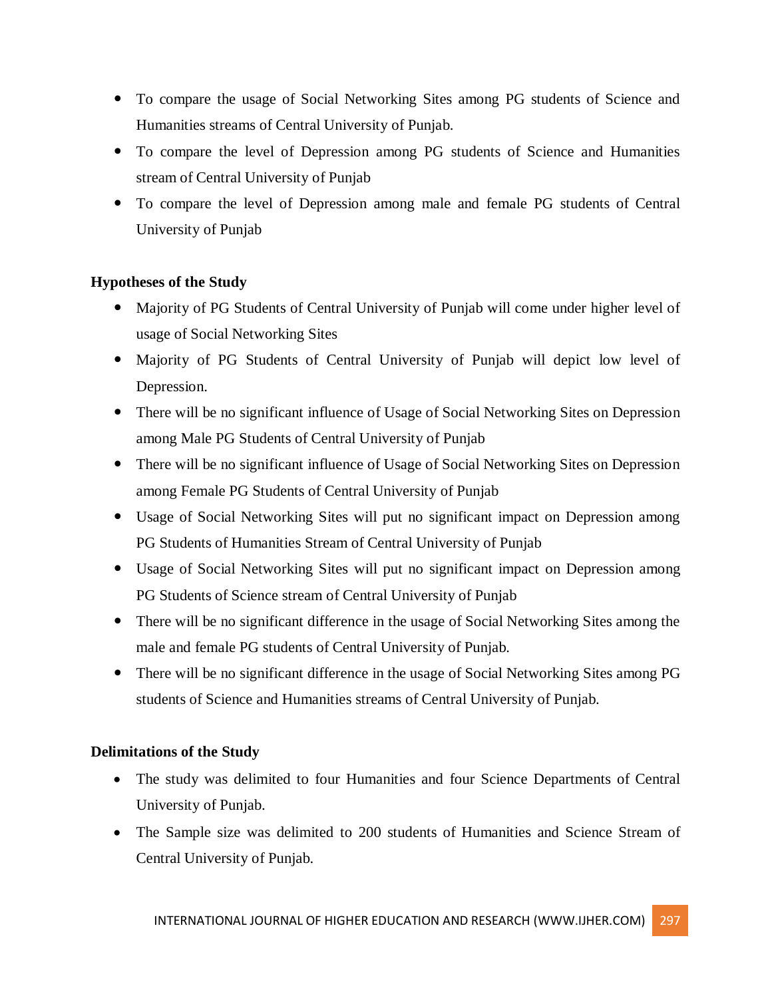- To compare the usage of Social Networking Sites among PG students of Science and Humanities streams of Central University of Punjab.
- To compare the level of Depression among PG students of Science and Humanities stream of Central University of Punjab
- To compare the level of Depression among male and female PG students of Central University of Punjab

## **Hypotheses of the Study**

- Majority of PG Students of Central University of Punjab will come under higher level of usage of Social Networking Sites
- Majority of PG Students of Central University of Punjab will depict low level of Depression.
- There will be no significant influence of Usage of Social Networking Sites on Depression among Male PG Students of Central University of Punjab
- There will be no significant influence of Usage of Social Networking Sites on Depression among Female PG Students of Central University of Punjab
- Usage of Social Networking Sites will put no significant impact on Depression among PG Students of Humanities Stream of Central University of Punjab
- Usage of Social Networking Sites will put no significant impact on Depression among PG Students of Science stream of Central University of Punjab
- There will be no significant difference in the usage of Social Networking Sites among the male and female PG students of Central University of Punjab.
- There will be no significant difference in the usage of Social Networking Sites among PG students of Science and Humanities streams of Central University of Punjab.

## **Delimitations of the Study**

- The study was delimited to four Humanities and four Science Departments of Central University of Punjab.
- The Sample size was delimited to 200 students of Humanities and Science Stream of Central University of Punjab.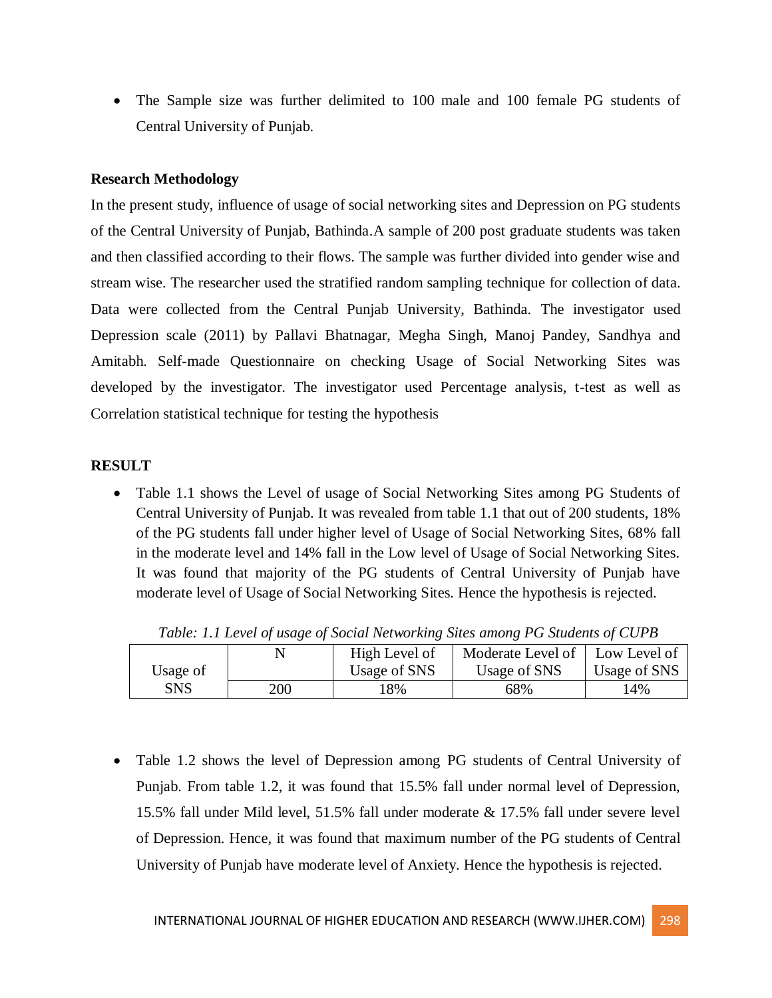The Sample size was further delimited to 100 male and 100 female PG students of Central University of Punjab.

## **Research Methodology**

In the present study, influence of usage of social networking sites and Depression on PG students of the Central University of Punjab, Bathinda.A sample of 200 post graduate students was taken and then classified according to their flows. The sample was further divided into gender wise and stream wise. The researcher used the stratified random sampling technique for collection of data. Data were collected from the Central Punjab University, Bathinda. The investigator used Depression scale (2011) by Pallavi Bhatnagar, Megha Singh, Manoj Pandey, Sandhya and Amitabh. Self-made Questionnaire on checking Usage of Social Networking Sites was developed by the investigator. The investigator used Percentage analysis, t-test as well as Correlation statistical technique for testing the hypothesis

#### **RESULT**

 Table 1.1 shows the Level of usage of Social Networking Sites among PG Students of Central University of Punjab. It was revealed from table 1.1 that out of 200 students, 18% of the PG students fall under higher level of Usage of Social Networking Sites, 68% fall in the moderate level and 14% fall in the Low level of Usage of Social Networking Sites. It was found that majority of the PG students of Central University of Punjab have moderate level of Usage of Social Networking Sites. Hence the hypothesis is rejected.

|          |     | High Level of | Moderate Level of   Low Level of |              |
|----------|-----|---------------|----------------------------------|--------------|
| Usage of |     | Usage of SNS  | Usage of SNS                     | Usage of SNS |
| SNS      | 200 | 18%           | 68%                              | 14%          |

*Table: 1.1 Level of usage of Social Networking Sites among PG Students of CUPB*

 Table 1.2 shows the level of Depression among PG students of Central University of Punjab. From table 1.2, it was found that 15.5% fall under normal level of Depression, 15.5% fall under Mild level, 51.5% fall under moderate & 17.5% fall under severe level of Depression. Hence, it was found that maximum number of the PG students of Central University of Punjab have moderate level of Anxiety. Hence the hypothesis is rejected.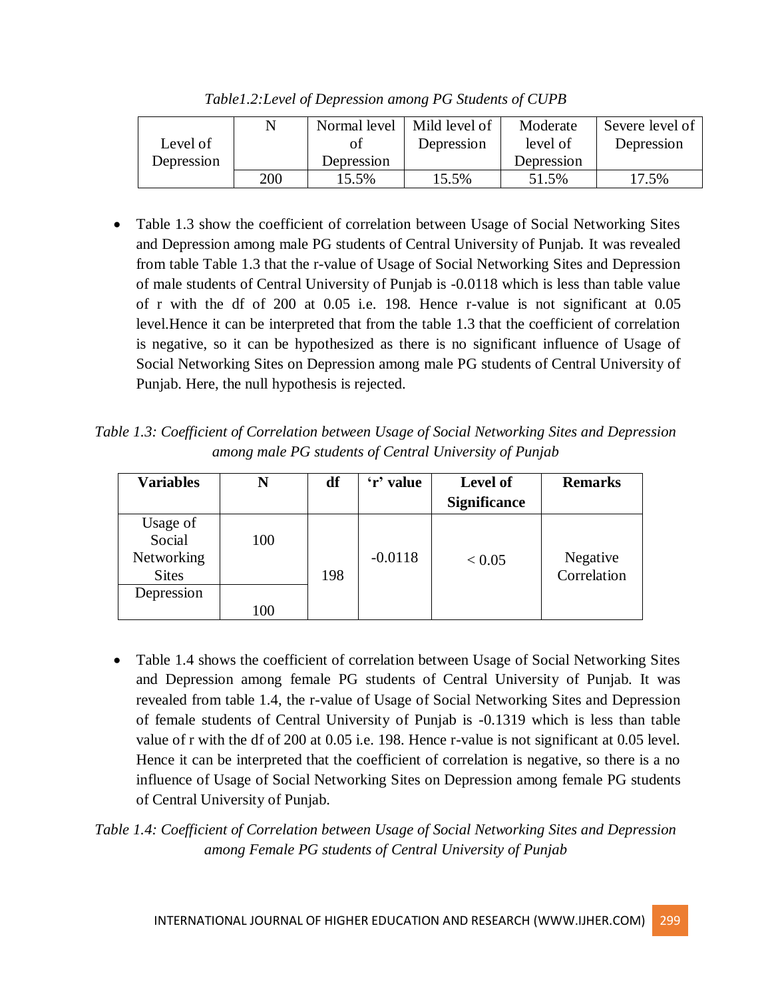|            |     | Normal level | Mild level of | Moderate   | Severe level of |
|------------|-----|--------------|---------------|------------|-----------------|
| Level of   |     |              | Depression    | level of   | Depression      |
| Depression |     | Depression   |               | Depression |                 |
|            | 200 | 15.5%        | 15.5%         | 51.5%      | 17.5%           |

*Table1.2:Level of Depression among PG Students of CUPB*

• Table 1.3 show the coefficient of correlation between Usage of Social Networking Sites and Depression among male PG students of Central University of Punjab. It was revealed from table Table 1.3 that the r-value of Usage of Social Networking Sites and Depression of male students of Central University of Punjab is -0.0118 which is less than table value of r with the df of 200 at 0.05 i.e. 198. Hence r-value is not significant at 0.05 level.Hence it can be interpreted that from the table 1.3 that the coefficient of correlation is negative, so it can be hypothesized as there is no significant influence of Usage of Social Networking Sites on Depression among male PG students of Central University of Punjab. Here, the null hypothesis is rejected.

*Table 1.3: Coefficient of Correlation between Usage of Social Networking Sites and Depression among male PG students of Central University of Punjab*

| <b>Variables</b>                                 | N   | df  | 'r' value | <b>Level of</b><br><b>Significance</b> | <b>Remarks</b>          |
|--------------------------------------------------|-----|-----|-----------|----------------------------------------|-------------------------|
| Usage of<br>Social<br>Networking<br><b>Sites</b> | 100 | 198 | $-0.0118$ | < 0.05                                 | Negative<br>Correlation |
| Depression                                       | 100 |     |           |                                        |                         |

- Table 1.4 shows the coefficient of correlation between Usage of Social Networking Sites and Depression among female PG students of Central University of Punjab. It was revealed from table 1.4, the r-value of Usage of Social Networking Sites and Depression of female students of Central University of Punjab is -0.1319 which is less than table value of r with the df of 200 at 0.05 i.e. 198. Hence r-value is not significant at 0.05 level. Hence it can be interpreted that the coefficient of correlation is negative, so there is a no influence of Usage of Social Networking Sites on Depression among female PG students of Central University of Punjab.
- *Table 1.4: Coefficient of Correlation between Usage of Social Networking Sites and Depression among Female PG students of Central University of Punjab*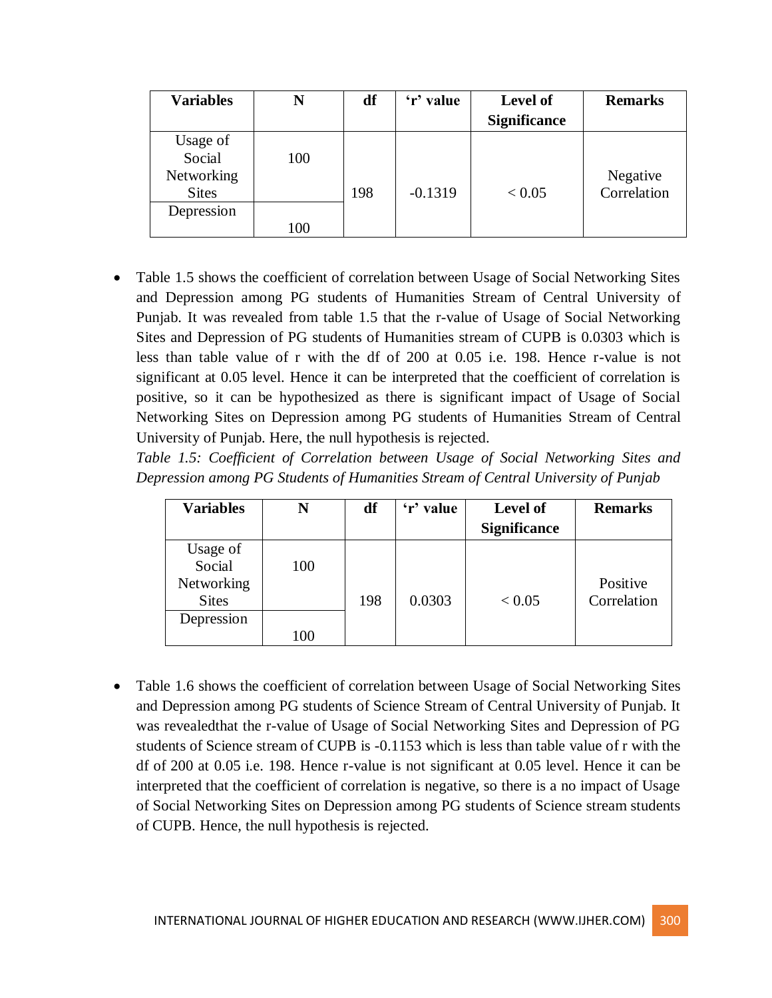| <b>Variables</b>                                 | N   | df  | 'r' value | <b>Level of</b><br><b>Significance</b> | <b>Remarks</b>          |
|--------------------------------------------------|-----|-----|-----------|----------------------------------------|-------------------------|
| Usage of<br>Social<br>Networking<br><b>Sites</b> | 100 | 198 | $-0.1319$ | < 0.05                                 | Negative<br>Correlation |
| Depression                                       | 100 |     |           |                                        |                         |

 Table 1.5 shows the coefficient of correlation between Usage of Social Networking Sites and Depression among PG students of Humanities Stream of Central University of Punjab. It was revealed from table 1.5 that the r-value of Usage of Social Networking Sites and Depression of PG students of Humanities stream of CUPB is 0.0303 which is less than table value of r with the df of 200 at 0.05 i.e. 198. Hence r-value is not significant at 0.05 level. Hence it can be interpreted that the coefficient of correlation is positive, so it can be hypothesized as there is significant impact of Usage of Social Networking Sites on Depression among PG students of Humanities Stream of Central University of Punjab. Here, the null hypothesis is rejected.

*Table 1.5: Coefficient of Correlation between Usage of Social Networking Sites and Depression among PG Students of Humanities Stream of Central University of Punjab*

| <b>Variables</b> | N   | df  | 'r' value | <b>Level of</b>     | <b>Remarks</b> |
|------------------|-----|-----|-----------|---------------------|----------------|
|                  |     |     |           | <b>Significance</b> |                |
| Usage of         |     |     |           |                     |                |
| Social           | 100 |     |           |                     |                |
| Networking       |     |     |           |                     | Positive       |
| <b>Sites</b>     |     | 198 | 0.0303    | < 0.05              | Correlation    |
| Depression       |     |     |           |                     |                |
|                  | 100 |     |           |                     |                |

 Table 1.6 shows the coefficient of correlation between Usage of Social Networking Sites and Depression among PG students of Science Stream of Central University of Punjab. It was revealedthat the r-value of Usage of Social Networking Sites and Depression of PG students of Science stream of CUPB is -0.1153 which is less than table value of r with the df of 200 at 0.05 i.e. 198. Hence r-value is not significant at 0.05 level. Hence it can be interpreted that the coefficient of correlation is negative, so there is a no impact of Usage of Social Networking Sites on Depression among PG students of Science stream students of CUPB. Hence, the null hypothesis is rejected.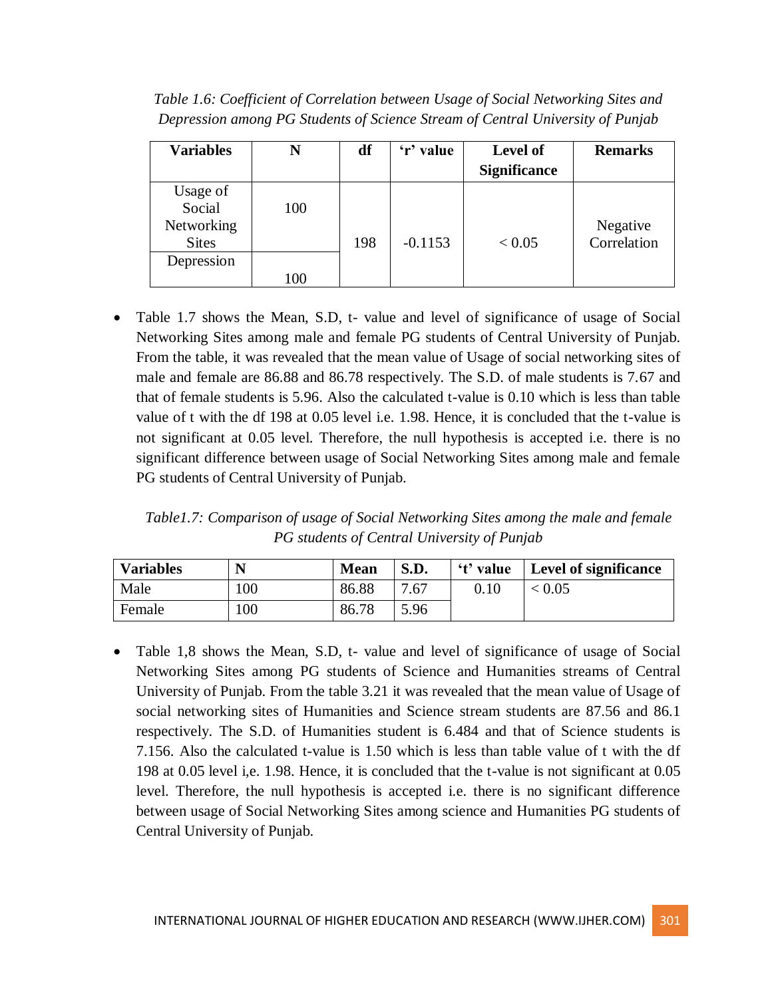*Table 1.6: Coefficient of Correlation between Usage of Social Networking Sites and Depression among PG Students of Science Stream of Central University of Punjab*

| <b>Variables</b>                                 | N   | df  | 'r' value | <b>Level of</b><br><b>Significance</b> | <b>Remarks</b>          |
|--------------------------------------------------|-----|-----|-----------|----------------------------------------|-------------------------|
| Usage of<br>Social<br>Networking<br><b>Sites</b> | 100 | 198 | $-0.1153$ | < 0.05                                 | Negative<br>Correlation |
| Depression                                       | 100 |     |           |                                        |                         |

• Table 1.7 shows the Mean, S.D, t- value and level of significance of usage of Social Networking Sites among male and female PG students of Central University of Punjab. From the table, it was revealed that the mean value of Usage of social networking sites of male and female are 86.88 and 86.78 respectively. The S.D. of male students is 7.67 and that of female students is 5.96. Also the calculated t-value is 0.10 which is less than table value of t with the df 198 at 0.05 level i.e. 1.98. Hence, it is concluded that the t-value is not significant at 0.05 level. Therefore, the null hypothesis is accepted i.e. there is no significant difference between usage of Social Networking Sites among male and female PG students of Central University of Punjab.

*Table1.7: Comparison of usage of Social Networking Sites among the male and female PG students of Central University of Punjab*

| <b>Variables</b> | N   | <b>Mean</b> | S.D. |      | 't' value   Level of significance |
|------------------|-----|-------------|------|------|-----------------------------------|
| Male             | 100 | 86.88       | 7.67 | 0.10 | < 0.05                            |
| Female           | 100 | 86.78       | 5.96 |      |                                   |

• Table 1,8 shows the Mean, S.D, t- value and level of significance of usage of Social Networking Sites among PG students of Science and Humanities streams of Central University of Punjab. From the table 3.21 it was revealed that the mean value of Usage of social networking sites of Humanities and Science stream students are 87.56 and 86.1 respectively. The S.D. of Humanities student is 6.484 and that of Science students is 7.156. Also the calculated t-value is 1.50 which is less than table value of t with the df 198 at 0.05 level i,e. 1.98. Hence, it is concluded that the t-value is not significant at 0.05 level. Therefore, the null hypothesis is accepted i.e. there is no significant difference between usage of Social Networking Sites among science and Humanities PG students of Central University of Punjab.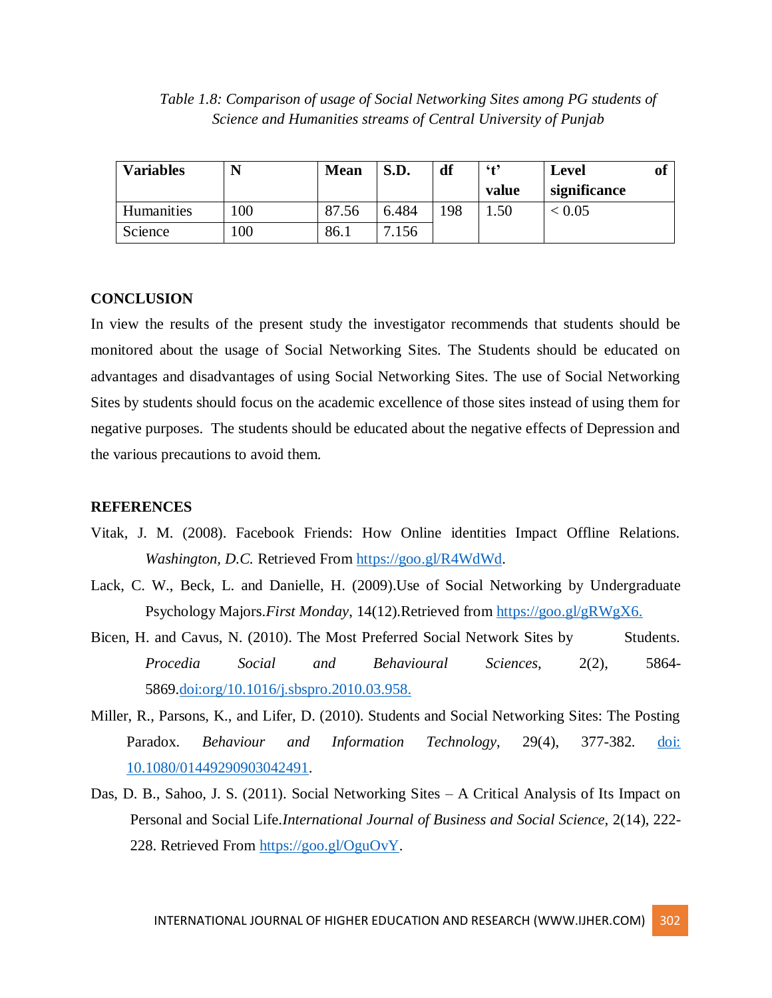| Table 1.8: Comparison of usage of Social Networking Sites among PG students of |  |
|--------------------------------------------------------------------------------|--|
| Science and Humanities streams of Central University of Punjab                 |  |

| <b>Variables</b> | N   | <b>Mean</b> | S.D.  | df  | $6 + 9$ | <b>Level</b> | Oİ |
|------------------|-----|-------------|-------|-----|---------|--------------|----|
|                  |     |             |       |     | value   | significance |    |
| Humanities       | 100 | 87.56       | 6.484 | 198 | .50     | 0.05         |    |
| Science          | 100 | 86.1        | 156   |     |         |              |    |

#### **CONCLUSION**

In view the results of the present study the investigator recommends that students should be monitored about the usage of Social Networking Sites. The Students should be educated on advantages and disadvantages of using Social Networking Sites. The use of Social Networking Sites by students should focus on the academic excellence of those sites instead of using them for negative purposes. The students should be educated about the negative effects of Depression and the various precautions to avoid them.

#### **REFERENCES**

- Vitak, J. M. (2008). Facebook Friends: How Online identities Impact Offline Relations. *Washington, D.C. Retrieved From [https://goo.gl/R4WdWd.](https://goo.gl/R4WdWd)*
- Lack, C. W., Beck, L. and Danielle, H. (2009).Use of Social Networking by Undergraduate Psychology Majors.*First Monday*, 14(12).Retrieved from [https://goo.gl/gRWgX6.](https://goo.gl/gRWgX6)
- Bicen, H. and Cavus, N. (2010). The Most Preferred Social Network Sites by Students. *Procedia Social and Behavioural Sciences*, 2(2), 5864- 5869[.doi:org/10.1016/j.sbspro.2010.03.958.](https://doi.org/10.1016/j.sbspro.2010.03.958)
- Miller, R., Parsons, K., and Lifer, D. (2010). Students and Social Networking Sites: The Posting Paradox. *Behaviour and Information Technology*, 29(4), 377-382. [doi:](http://dx.doi.org/10.1080/01449290903042491)  [10.1080/01449290903042491.](http://dx.doi.org/10.1080/01449290903042491)
- Das, D. B., Sahoo, J. S. (2011). Social Networking Sites A Critical Analysis of Its Impact on Personal and Social Life.*International Journal of Business and Social Science,* 2(14), 222- 228. Retrieved From [https://goo.gl/OguOvY.](https://goo.gl/OguOvY)